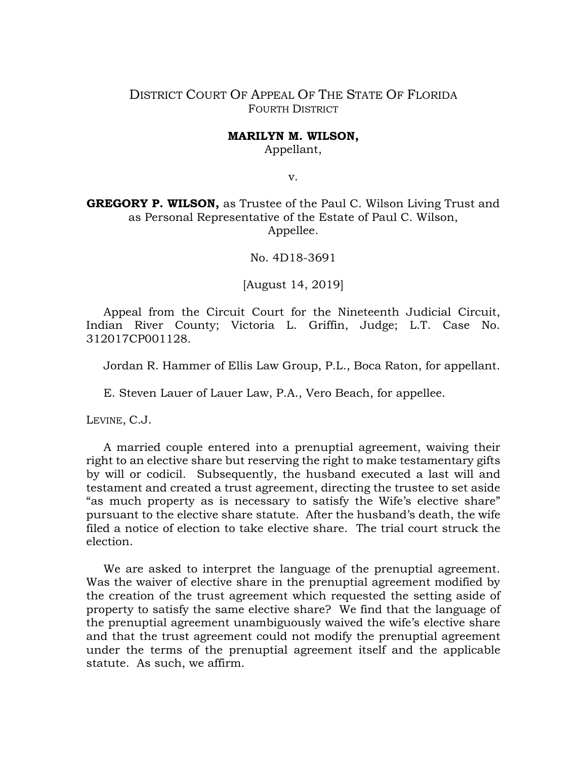## DISTRICT COURT OF APPEAL OF THE STATE OF FLORIDA FOURTH DISTRICT

## **MARILYN M. WILSON,**

Appellant,

v.

**GREGORY P. WILSON,** as Trustee of the Paul C. Wilson Living Trust and as Personal Representative of the Estate of Paul C. Wilson, Appellee.

No. 4D18-3691

[August 14, 2019]

Appeal from the Circuit Court for the Nineteenth Judicial Circuit, Indian River County; Victoria L. Griffin, Judge; L.T. Case No. 312017CP001128.

Jordan R. Hammer of Ellis Law Group, P.L., Boca Raton, for appellant.

E. Steven Lauer of Lauer Law, P.A., Vero Beach, for appellee.

LEVINE, C.J.

A married couple entered into a prenuptial agreement, waiving their right to an elective share but reserving the right to make testamentary gifts by will or codicil. Subsequently, the husband executed a last will and testament and created a trust agreement, directing the trustee to set aside "as much property as is necessary to satisfy the Wife's elective share" pursuant to the elective share statute. After the husband's death, the wife filed a notice of election to take elective share. The trial court struck the election.

We are asked to interpret the language of the prenuptial agreement. Was the waiver of elective share in the prenuptial agreement modified by the creation of the trust agreement which requested the setting aside of property to satisfy the same elective share? We find that the language of the prenuptial agreement unambiguously waived the wife's elective share and that the trust agreement could not modify the prenuptial agreement under the terms of the prenuptial agreement itself and the applicable statute. As such, we affirm.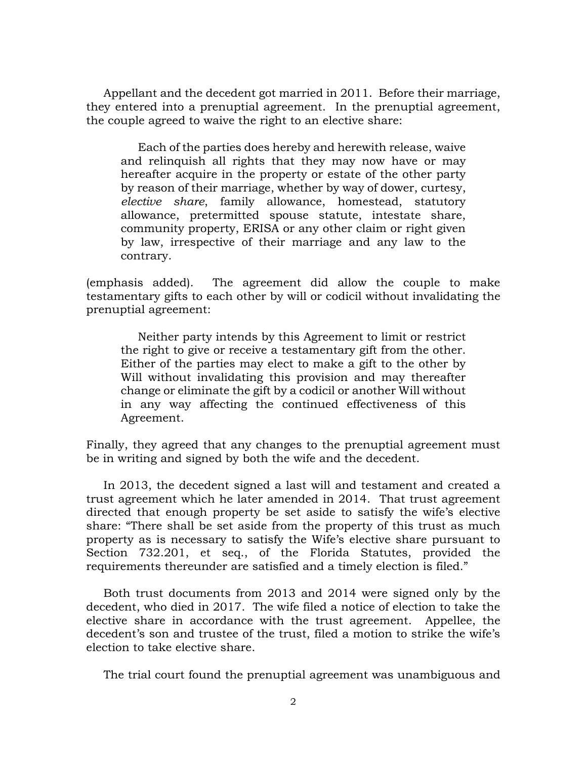Appellant and the decedent got married in 2011. Before their marriage, they entered into a prenuptial agreement. In the prenuptial agreement, the couple agreed to waive the right to an elective share:

Each of the parties does hereby and herewith release, waive and relinquish all rights that they may now have or may hereafter acquire in the property or estate of the other party by reason of their marriage, whether by way of dower, curtesy, *elective share*, family allowance, homestead, statutory allowance, pretermitted spouse statute, intestate share, community property, ERISA or any other claim or right given by law, irrespective of their marriage and any law to the contrary.

(emphasis added). The agreement did allow the couple to make testamentary gifts to each other by will or codicil without invalidating the prenuptial agreement:

Neither party intends by this Agreement to limit or restrict the right to give or receive a testamentary gift from the other. Either of the parties may elect to make a gift to the other by Will without invalidating this provision and may thereafter change or eliminate the gift by a codicil or another Will without in any way affecting the continued effectiveness of this Agreement.

Finally, they agreed that any changes to the prenuptial agreement must be in writing and signed by both the wife and the decedent.

In 2013, the decedent signed a last will and testament and created a trust agreement which he later amended in 2014. That trust agreement directed that enough property be set aside to satisfy the wife's elective share: "There shall be set aside from the property of this trust as much property as is necessary to satisfy the Wife's elective share pursuant to Section 732.201, et seq., of the Florida Statutes, provided the requirements thereunder are satisfied and a timely election is filed."

Both trust documents from 2013 and 2014 were signed only by the decedent, who died in 2017. The wife filed a notice of election to take the elective share in accordance with the trust agreement. Appellee, the decedent's son and trustee of the trust, filed a motion to strike the wife's election to take elective share.

The trial court found the prenuptial agreement was unambiguous and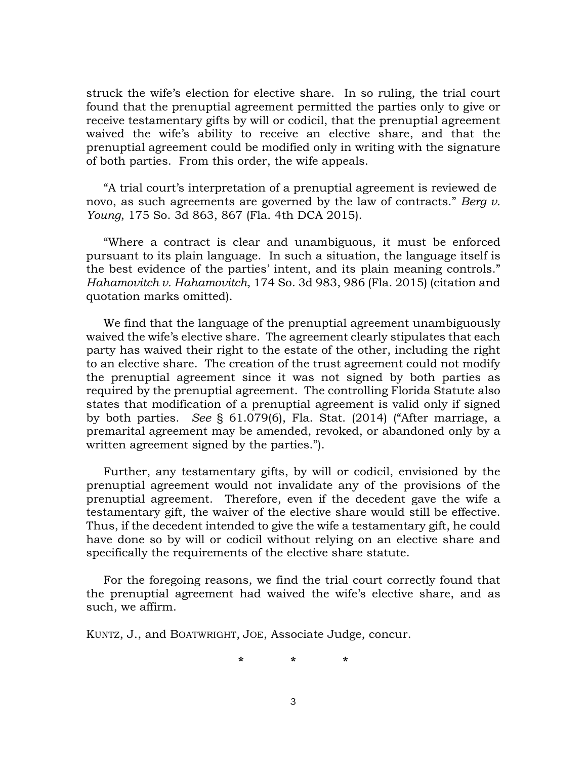struck the wife's election for elective share. In so ruling, the trial court found that the prenuptial agreement permitted the parties only to give or receive testamentary gifts by will or codicil, that the prenuptial agreement waived the wife's ability to receive an elective share, and that the prenuptial agreement could be modified only in writing with the signature of both parties. From this order, the wife appeals.

"A trial court's interpretation of a prenuptial agreement is reviewed de novo, as such agreements are governed by the law of contracts." *Berg v. Young*, 175 So. 3d 863, 867 (Fla. 4th DCA 2015).

"Where a contract is clear and unambiguous, it must be enforced pursuant to its plain language. In such a situation, the language itself is the best evidence of the parties' intent, and its plain meaning controls." *Hahamovitch v. Hahamovitch*, 174 So. 3d 983, 986 (Fla. 2015) (citation and quotation marks omitted).

We find that the language of the prenuptial agreement unambiguously waived the wife's elective share. The agreement clearly stipulates that each party has waived their right to the estate of the other, including the right to an elective share. The creation of the trust agreement could not modify the prenuptial agreement since it was not signed by both parties as required by the prenuptial agreement. The controlling Florida Statute also states that modification of a prenuptial agreement is valid only if signed by both parties. *See* § 61.079(6), Fla. Stat. (2014) ("After marriage, a premarital agreement may be amended, revoked, or abandoned only by a written agreement signed by the parties.").

Further, any testamentary gifts, by will or codicil, envisioned by the prenuptial agreement would not invalidate any of the provisions of the prenuptial agreement. Therefore, even if the decedent gave the wife a testamentary gift, the waiver of the elective share would still be effective. Thus, if the decedent intended to give the wife a testamentary gift, he could have done so by will or codicil without relying on an elective share and specifically the requirements of the elective share statute.

For the foregoing reasons, we find the trial court correctly found that the prenuptial agreement had waived the wife's elective share, and as such, we affirm.

KUNTZ, J., and BOATWRIGHT, JOE, Associate Judge, concur.

**\* \* \***